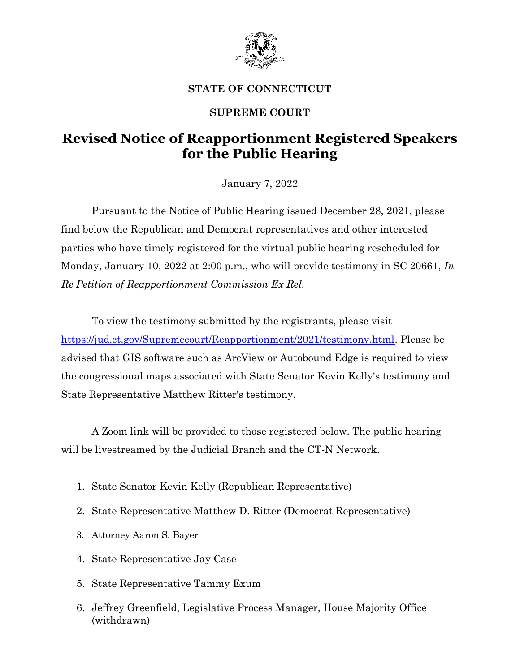

## **STATE OF CONNECTICUT**

## **SUPREME COURT**

## **Revised Notice of Reapportionment Registered Speakers for the Public Hearing**

## January 7, 2022

Pursuant to the Notice of Public Hearing issued December 28, 2021, please find below the Republican and Democrat representatives and other interested parties who have timely registered for the virtual public hearing rescheduled for Monday, January 10, 2022 at 2:00 p.m., who will provide testimony in SC 20661, *In Re Petition of Reapportionment Commission Ex Rel.*

To view the testimony submitted by the registrants, please visit [https://jud.ct.gov/Supremecourt/Reapportionment/2021/testimony.html.](https://jud.ct.gov/Supremecourt/Reapportionment/2021/testimony.html) Please be advised that GIS software such as ArcView or Autobound Edge is required to view the congressional maps associated with State Senator Kevin Kelly's testimony and State Representative Matthew Ritter's testimony.

A Zoom link will be provided to those registered below. The public hearing will be livestreamed by the Judicial Branch and the CT-N Network.

- 1. State Senator Kevin Kelly (Republican Representative)
- 2. State Representative Matthew D. Ritter (Democrat Representative)
- 3. Attorney Aaron S. Bayer
- 4. State Representative Jay Case
- 5. State Representative Tammy Exum
- 6. Jeffrey Greenfield, Legislative Process Manager, House Majority Office (withdrawn)